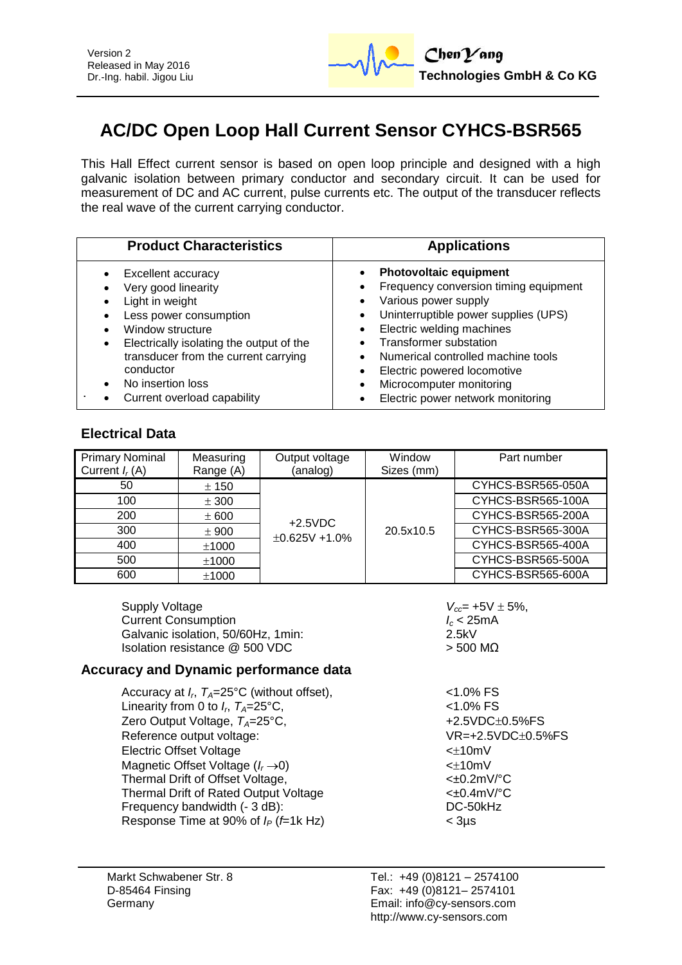

# **AC/DC Open Loop Hall Current Sensor CYHCS-BSR565**

This Hall Effect current sensor is based on open loop principle and designed with a high galvanic isolation between primary conductor and secondary circuit. It can be used for measurement of DC and AC current, pulse currents etc. The output of the transducer reflects the real wave of the current carrying conductor.

| <b>Product Characteristics</b>                                                                                                                                                                                                                | <b>Applications</b>                                                                                                                                                                                                                                                                            |
|-----------------------------------------------------------------------------------------------------------------------------------------------------------------------------------------------------------------------------------------------|------------------------------------------------------------------------------------------------------------------------------------------------------------------------------------------------------------------------------------------------------------------------------------------------|
| Excellent accuracy<br>Very good linearity<br>Light in weight<br>Less power consumption<br>Window structure<br>Electrically isolating the output of the<br>$\bullet$<br>transducer from the current carrying<br>conductor<br>No insertion loss | <b>Photovoltaic equipment</b><br>Frequency conversion timing equipment<br>Various power supply<br>Uninterruptible power supplies (UPS)<br>Electric welding machines<br>Transformer substation<br>Numerical controlled machine tools<br>Electric powered locomotive<br>Microcomputer monitoring |
| Current overload capability                                                                                                                                                                                                                   | Electric power network monitoring                                                                                                                                                                                                                                                              |

# **Electrical Data**

| <b>Primary Nominal</b><br>Current $I_r(A)$ | Measuring<br>Range (A) | Output voltage<br>(analog)        | Window<br>Sizes (mm) | Part number       |
|--------------------------------------------|------------------------|-----------------------------------|----------------------|-------------------|
| 50                                         | ± 150                  | $+2.5VDC$<br>$\pm 0.625V + 1.0\%$ |                      | CYHCS-BSR565-050A |
| 100                                        | ± 300                  |                                   |                      | CYHCS-BSR565-100A |
| 200                                        | ± 600                  |                                   | 20.5x10.5            | CYHCS-BSR565-200A |
| 300                                        | ± 900                  |                                   |                      | CYHCS-BSR565-300A |
| 400                                        | ±1000                  |                                   |                      | CYHCS-BSR565-400A |
| 500                                        | ±1000                  |                                   |                      | CYHCS-BSR565-500A |
| 600                                        | ±1000                  |                                   |                      | CYHCS-BSR565-600A |

| Supply Voltage                     | $V_{cc}$ = + |
|------------------------------------|--------------|
| <b>Current Consumption</b>         | $I_c < 25$   |
| Galvanic isolation, 50/60Hz, 1min: | 2.5kV        |
| Isolation resistance @ 500 VDC     | > 500        |
|                                    |              |

### **Accuracy and Dynamic performance data**

| <1.0% FS                        |
|---------------------------------|
| $< 1.0\%$ FS                    |
| +2.5VDC±0.5%FS                  |
| VR=+2.5VDC±0.5%FS               |
| $<\pm$ 10mV                     |
| $<\pm$ 10mV                     |
| $<\pm 0.2$ m $V$ <sup>o</sup> C |
| $<\pm 0.4$ m $V$ °C             |
| DC-50kHz                        |
| $<$ 3 $\mu$ s                   |
|                                 |

 $V_{cc}$ = +5V  $\pm$  5%,

 $I_c$  < 25mA<br>2.5kV

 $> 500$  MΩ